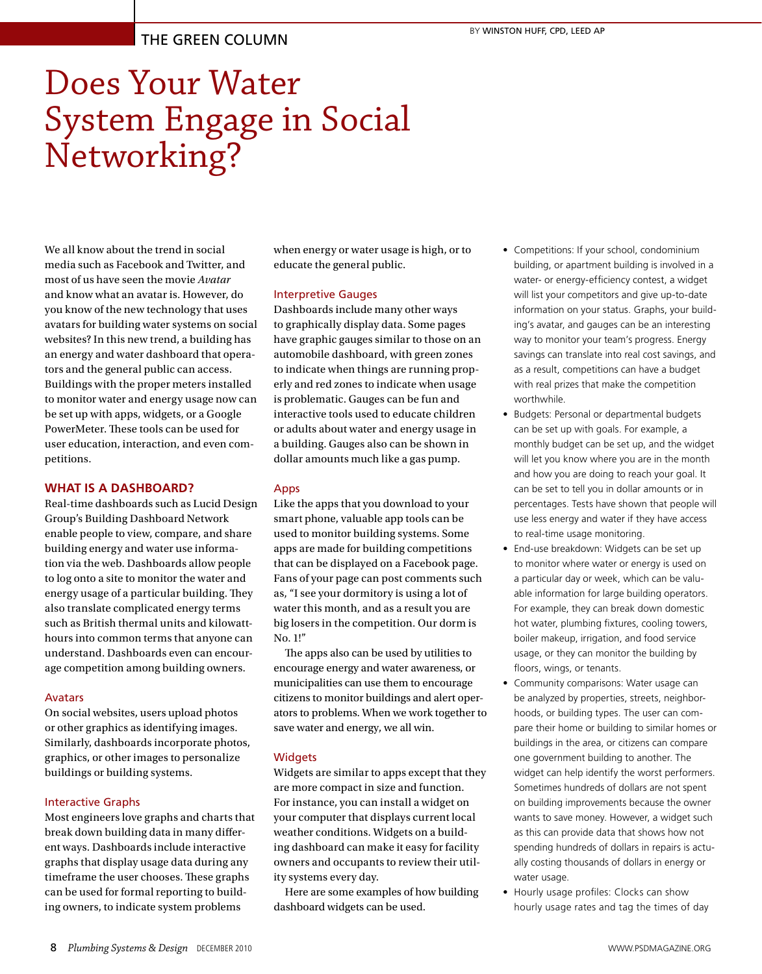# THE GREEN COLUMN

# Does Your Water System Engage in Social Networking?

We all know about the trend in social media such as Facebook and Twitter, and most of us have seen the movie *Avatar* and know what an avatar is. However, do you know of the new technology that uses avatars for building water systems on social websites? In this new trend, a building has an energy and water dashboard that operators and the general public can access. Buildings with the proper meters installed to monitor water and energy usage now can be set up with apps, widgets, or a Google PowerMeter. These tools can be used for user education, interaction, and even competitions.

### **WHAT IS A DASHBOARD?**

Real-time dashboards such as Lucid Design Group's Building Dashboard Network enable people to view, compare, and share building energy and water use information via the web. Dashboards allow people to log onto a site to monitor the water and energy usage of a particular building. They also translate complicated energy terms such as British thermal units and kilowatthours into common terms that anyone can understand. Dashboards even can encourage competition among building owners.

#### Avatars

On social websites, users upload photos or other graphics as identifying images. Similarly, dashboards incorporate photos, graphics, or other images to personalize buildings or building systems.

#### Interactive Graphs

Most engineers love graphs and charts that break down building data in many different ways. Dashboards include interactive graphs that display usage data during any timeframe the user chooses. These graphs can be used for formal reporting to building owners, to indicate system problems

when energy or water usage is high, or to educate the general public.

#### Interpretive Gauges

Dashboards include many other ways to graphically display data. Some pages have graphic gauges similar to those on an automobile dashboard, with green zones to indicate when things are running properly and red zones to indicate when usage is problematic. Gauges can be fun and interactive tools used to educate children or adults about water and energy usage in a building. Gauges also can be shown in dollar amounts much like a gas pump.

#### Apps

Like the apps that you download to your smart phone, valuable app tools can be used to monitor building systems. Some apps are made for building competitions that can be displayed on a Facebook page. Fans of your page can post comments such as, "I see your dormitory is using a lot of water this month, and as a result you are big losers in the competition. Our dorm is No. 1!"

The apps also can be used by utilities to encourage energy and water awareness, or municipalities can use them to encourage citizens to monitor buildings and alert operators to problems. When we work together to save water and energy, we all win.

#### **Widgets**

Widgets are similar to apps except that they are more compact in size and function. For instance, you can install a widget on your computer that displays current local weather conditions. Widgets on a building dashboard can make it easy for facility owners and occupants to review their utility systems every day.

Here are some examples of how building dashboard widgets can be used.

- Competitions: If your school, condominium building, or apartment building is involved in a water- or energy-efficiency contest, a widget will list your competitors and give up-to-date information on your status. Graphs, your building's avatar, and gauges can be an interesting way to monitor your team's progress. Energy savings can translate into real cost savings, and as a result, competitions can have a budget with real prizes that make the competition worthwhile.
- • Budgets: Personal or departmental budgets can be set up with goals. For example, a monthly budget can be set up, and the widget will let you know where you are in the month and how you are doing to reach your goal. It can be set to tell you in dollar amounts or in percentages. Tests have shown that people will use less energy and water if they have access to real-time usage monitoring.
- End-use breakdown: Widgets can be set up to monitor where water or energy is used on a particular day or week, which can be valuable information for large building operators. For example, they can break down domestic hot water, plumbing fixtures, cooling towers, boiler makeup, irrigation, and food service usage, or they can monitor the building by floors, wings, or tenants.
- Community comparisons: Water usage can be analyzed by properties, streets, neighborhoods, or building types. The user can compare their home or building to similar homes or buildings in the area, or citizens can compare one government building to another. The widget can help identify the worst performers. Sometimes hundreds of dollars are not spent on building improvements because the owner wants to save money. However, a widget such as this can provide data that shows how not spending hundreds of dollars in repairs is actually costing thousands of dollars in energy or water usage.
- Hourly usage profiles: Clocks can show hourly usage rates and tag the times of day